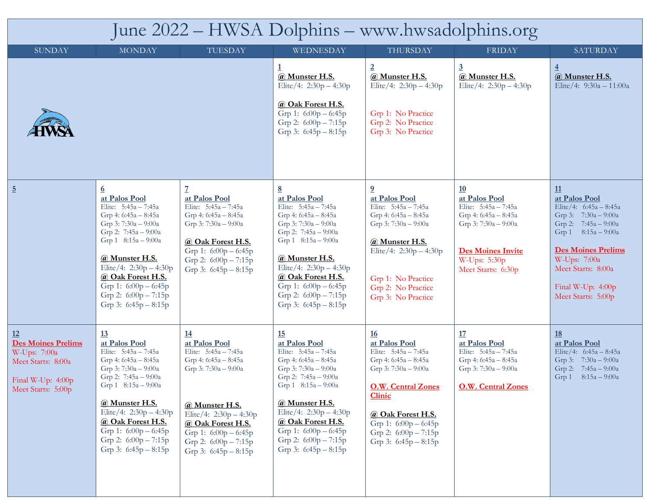| June 2022 – HWSA Dolphins – www.hwsadolphins.org                                                                   |                                                                                                                                                                                                                                                                                                              |                                                                                                                                                                                                                                                       |                                                                                                                                                                                                                                                                                                   |                                                                                                                                                                                                                                                       |                                                                                                                                                                   |                                                                                                                                                                                                                                        |  |
|--------------------------------------------------------------------------------------------------------------------|--------------------------------------------------------------------------------------------------------------------------------------------------------------------------------------------------------------------------------------------------------------------------------------------------------------|-------------------------------------------------------------------------------------------------------------------------------------------------------------------------------------------------------------------------------------------------------|---------------------------------------------------------------------------------------------------------------------------------------------------------------------------------------------------------------------------------------------------------------------------------------------------|-------------------------------------------------------------------------------------------------------------------------------------------------------------------------------------------------------------------------------------------------------|-------------------------------------------------------------------------------------------------------------------------------------------------------------------|----------------------------------------------------------------------------------------------------------------------------------------------------------------------------------------------------------------------------------------|--|
| <b>SUNDAY</b>                                                                                                      | <b>MONDAY</b>                                                                                                                                                                                                                                                                                                | TUESDAY                                                                                                                                                                                                                                               | WEDNESDAY                                                                                                                                                                                                                                                                                         | THURSDAY                                                                                                                                                                                                                                              | <b>FRIDAY</b>                                                                                                                                                     | <b>SATURDAY</b>                                                                                                                                                                                                                        |  |
|                                                                                                                    |                                                                                                                                                                                                                                                                                                              |                                                                                                                                                                                                                                                       | @ Munster H.S.<br>Elite/4: $2:30p - 4:30p$<br>@ Oak Forest H.S.<br>Grp 1: $6:00p - 6:45p$<br>Grp 2: $6:00p - 7:15p$<br>Grp 3: $6:45p - 8:15p$                                                                                                                                                     | $\overline{2}$<br>@ Munster H.S.<br>Elite/4: $2:30p - 4:30p$<br>Grp 1: No Practice<br>Grp 2: No Practice<br>Grp 3: No Practice                                                                                                                        | $\overline{3}$<br>@ Munster H.S.<br>Elite/4: $2:30p - 4:30p$                                                                                                      | $\overline{4}$<br>@ Munster H.S.<br>Elite/4: 9:30a - 11:00a                                                                                                                                                                            |  |
| $\overline{5}$                                                                                                     | $\underline{6}$<br>at Palos Pool<br>Elite: $5:45a - 7:45a$<br>Grp 4: 6:45a - 8:45a<br>Grp 3: 7:30a - 9:00a<br>Grp 2: $7:45a - 9:00a$<br>Grp 1 8:15a - 9:00a<br>@ Munster H.S.<br>Elite/4: $2:30p - 4:30p$<br>@ Oak Forest H.S.<br>Grp 1: $6:00p - 6:45p$<br>Grp 2: $6:00p - 7:15p$<br>Grp 3: $6:45p - 8:15p$ | at Palos Pool<br>Elite: 5:45a - 7:45a<br>Grp 4: $6:45a - 8:45a$<br>Grp 3: 7:30a - 9:00a<br>@ Oak Forest H.S.<br>Grp 1: 6:00p - 6:45p<br>Grp 2: $6:00p - 7:15p$<br>Grp 3: $6:45p - 8:15p$                                                              | at Palos Pool<br>Elite: 5:45a - 7:45a<br>Grp 4: $6:45a - 8:45a$<br>Grp 3: 7:30a - 9:00a<br>Grp 2: $7:45a - 9:00a$<br>Grp 1 8:15a - 9:00a<br>@ Munster H.S.<br>Elite/4: $2:30p - 4:30p$<br>@ Oak Forest H.S.<br>Grp 1: $6:00p - 6:45p$<br>Grp 2: $6:00p - 7:15p$<br>Grp 3: $6:45p - 8:15p$         | $\overline{0}$<br>at Palos Pool<br>Elite: 5:45a - 7:45a<br>Grp 4: $6:45a - 8:45a$<br>Grp 3: 7:30a - 9:00a<br>@ Munster H.S.<br>Elite/4: 2:30p - 4:30p<br>Grp 1: No Practice<br>Grp 2: No Practice<br>Grp 3: No Practice                               | 10<br>at Palos Pool<br>Elite: 5:45a - 7:45a<br>Grp 4: $6:45a - 8:45a$<br>Grp 3: $7:30a - 9:00a$<br><b>Des Moines Invite</b><br>W-Ups: 5:30p<br>Meet Starts: 6:30p | 11<br>at Palos Pool<br>Elite/4: $6:45a - 8:45a$<br>Grp 3: $7:30a - 9:00a$<br>Grp 2: 7:45a - 9:00a<br>Grp 1 8:15a - 9:00a<br><b>Des Moines Prelims</b><br>W-Ups: 7:00a<br>Meet Starts: 8:00a<br>Final W-Up: 4:00p<br>Meet Starts: 5:00p |  |
| 12<br><b>Des Moines Prelims</b><br>W-Ups: 7:00a<br>Meet Starts: 8:00a<br>Final W-Up: $4:00p$<br>Meet Starts: 5:00p | <u>13</u><br>at Palos Pool<br>Elite: $5:45a - 7:45a$<br>Grp 4: 6:45a – 8:45a<br>Grp 3: $7:30a - 9:00a$<br>Grp 2: $7:45a - 9:00a$<br>Grp 1 8:15a - 9:00a<br>@ Munster H.S.<br>Elite/4: $2:30p - 4:30p$<br>@ Oak Forest H.S.<br>Grp 1: $6:00p - 6:45p$<br>Grp 2: $6:00p - 7:15p$<br>Grp 3: $6:45p - 8:15p$     | <u>14</u><br>at Palos Pool<br>Elite: 5:45a - 7:45a<br>Grp 4: 6:45a - 8:45a<br>Grp 3: $7:30a - 9:00a$<br>@ Munster H.S.<br>Elite/4: $2:30p - 4:30p$<br>@ Oak Forest H.S.<br>Grp 1: $6:00p - 6:45p$<br>Grp 2: $6:00p - 7:15p$<br>Grp 3: $6:45p - 8:15p$ | 15<br>at Palos Pool<br>Elite: 5:45a - 7:45a<br>Grp 4: $6:45a - 8:45a$<br>Grp 3: $7:30a - 9:00a$<br>Grp 2: $7:45a - 9:00a$<br>Grp 1 8:15a - 9:00a<br>@ Munster H.S.<br>Elite/4: $2:30p - 4:30p$<br>@ Oak Forest H.S.<br>Grp 1: $6:00p - 6:45p$<br>Grp 2: $6:00p - 7:15p$<br>Grp 3: $6:45p - 8:15p$ | <u>16</u><br>at Palos Pool<br>Elite: 5:45a - 7:45a<br>Grp 4: 6:45a - 8:45a<br>Grp 3: $7:30a - 9:00a$<br><b>O.W. Central Zones</b><br><b>Clinic</b><br>@ Oak Forest H.S.<br>Grp 1: $6:00p - 6:45p$<br>Grp 2: $6:00p - 7:15p$<br>Grp 3: $6:45p - 8:15p$ | 17<br>at Palos Pool<br>Elite: 5:45a - 7:45a<br>Grp 4: 6:45a - 8:45a<br>Grp 3: $7:30a - 9:00a$<br><b>O.W. Central Zones</b>                                        | <u>18</u><br>at Palos Pool<br>Elite/4: $6:45a - 8:45a$<br>Grp 3: $7:30a - 9:00a$<br>Grp 2: $7:45a - 9:00a$<br>Grp 1 $8:15a - 9:00a$                                                                                                    |  |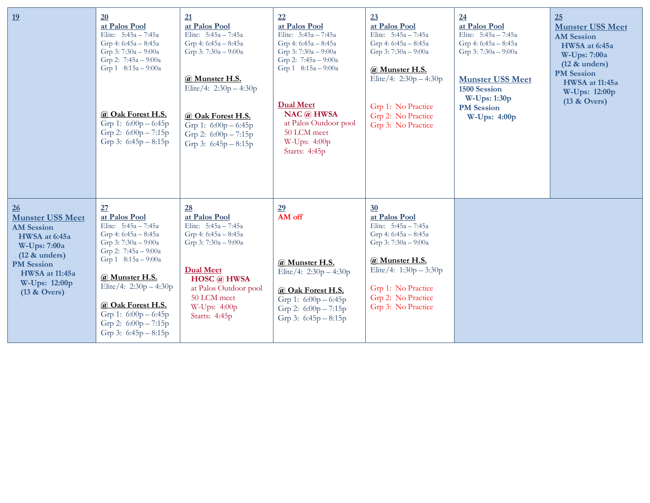| 19                                                                                                                                                                                        | 20<br>at Palos Pool<br>Elite: 5:45a - 7:45a<br>Grp 4: 6:45a - 8:45a<br>Grp 3: $7:30a - 9:00a$<br>Grp 2: 7:45a - 9:00a<br>Grp 1 8:15a - 9:00a<br>@ Oak Forest H.S.<br>Grp 1: $6:00p - 6:45p$<br>Grp 2: $6:00p - 7:15p$<br>Grp 3: $6:45p - 8:15p$                                                       | 21<br>at Palos Pool<br>Elite: $5:45a - 7:45a$<br>Grp 4: 6:45a - 8:45a<br>Grp 3: $7:30a - 9:00a$<br>@ Munster H.S.<br>Elite/4: $2:30p - 4:30p$<br>@ Oak Forest H.S.<br>Grp 1: $6:00p - 6:45p$<br>Grp 2: $6:00p - 7:15p$<br>Grp 3: $6:45p - 8:15p$ | 22<br>at Palos Pool<br>Elite: 5:45a - 7:45a<br>Grp 4: 6:45a - 8:45a<br>Grp 3: $7:30a - 9:00a$<br>Grp 2: $7:45a - 9:00a$<br>Grp 1 8:15a - 9:00a<br><b>Dual Meet</b><br>$NAC$ $@$ HWSA<br>at Palos Outdoor pool<br>50 LCM meet<br>W-Ups: $4:00p$<br>Starts: 4:45p | 23<br>at Palos Pool<br>Elite: 5:45a - 7:45a<br>Grp 4: 6:45a - 8:45a<br>Grp 3: $7:30a - 9:00a$<br>@ Munster H.S.<br>Elite/4: $2:30p - 4:30p$<br>Grp 1: No Practice<br>Grp 2: No Practice<br>Grp 3: No Practice | 24<br>at Palos Pool<br>Elite: $5:45a - 7:45a$<br>Grp 4: 6:45a - 8:45a<br>Grp 3: 7:30a - 9:00a<br><b>Munster USS Meet</b><br>1500 Session<br><b>W-Ups: 1:30p</b><br><b>PM</b> Session<br>W-Ups: 4:00p | 25<br><b>Munster USS Meet</b><br><b>AM</b> Session<br>HWSA at 6:45a<br>W-Ups: 7:00a<br>$(12 \&$ unders)<br><b>PM</b> Session<br><b>HWSA</b> at 11:45a<br>W-Ups: 12:00p<br>$(13 \& Overs)$ |
|-------------------------------------------------------------------------------------------------------------------------------------------------------------------------------------------|-------------------------------------------------------------------------------------------------------------------------------------------------------------------------------------------------------------------------------------------------------------------------------------------------------|--------------------------------------------------------------------------------------------------------------------------------------------------------------------------------------------------------------------------------------------------|-----------------------------------------------------------------------------------------------------------------------------------------------------------------------------------------------------------------------------------------------------------------|---------------------------------------------------------------------------------------------------------------------------------------------------------------------------------------------------------------|------------------------------------------------------------------------------------------------------------------------------------------------------------------------------------------------------|-------------------------------------------------------------------------------------------------------------------------------------------------------------------------------------------|
| 26<br><b>Munster USS Meet</b><br><b>AM Session</b><br>HWSA at 6:45a<br>W-Ups: 7:00a<br>$(12 \&$ unders)<br><b>PM</b> Session<br><b>HWSA</b> at 11:45a<br>W-Ups: 12:00p<br>$(13 \& Overs)$ | 27<br>at Palos Pool<br>Elite: 5:45a - 7:45a<br>Grp 4: 6:45a - 8:45a<br>Grp 3: 7:30a - 9:00a<br>Grp 2: $7:45a - 9:00a$<br>Grp $1 \quad 8:15a - 9:00a$<br>@ Munster H.S.<br>Elite/4: $2:30p - 4:30p$<br>@ Oak Forest H.S.<br>Grp 1: $6:00p - 6:45p$<br>Grp 2: $6:00p - 7:15p$<br>Grp 3: $6:45p - 8:15p$ | 28<br>at Palos Pool<br>Elite: 5:45a - 7:45a<br>Grp 4: 6:45a - 8:45a<br>Grp 3: $7:30a - 9:00a$<br><b>Dual Meet</b><br><b>HOSC</b> @ HWSA<br>at Palos Outdoor pool<br>50 LCM meet<br>W-Ups: 4:00p<br>Starts: 4:45p                                 | 29<br>AM off<br>@ Munster H.S.<br>Elite/4: $2:30p - 4:30p$<br>@ Oak Forest H.S.<br>Grp 1: $6:00p - 6:45p$<br>Grp 2: $6:00p - 7:15p$<br>Grp 3: $6:45p - 8:15p$                                                                                                   | 30<br>at Palos Pool<br>Elite: 5:45a - 7:45a<br>Grp 4: $6:45a - 8:45a$<br>Grp 3: 7:30a - 9:00a<br>@ Munster H.S.<br>Elite/4: $1:30p - 3:30p$<br>Grp 1: No Practice<br>Grp 2: No Practice<br>Grp 3: No Practice |                                                                                                                                                                                                      |                                                                                                                                                                                           |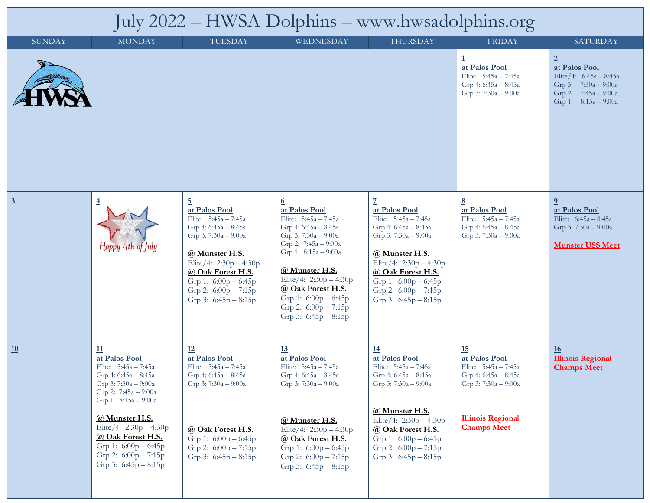## July 2022 – HWSA Dolphins – www.hwsadolphins.org

| <b>SUNDAY</b>           | <b>MONDAY</b>                                                                                                                                                                                                                                                                                      | TUESDAY                                                                                                                                                                                                                                                    | WEDNESDAY                                                                                                                                                                                                                                                                                                | <b>THURSDAY</b>                                                                                                                                                                                                                                            | <b>FRIDAY</b>                                                                                                                                 | <b>SATURDAY</b>                                                                                                                      |
|-------------------------|----------------------------------------------------------------------------------------------------------------------------------------------------------------------------------------------------------------------------------------------------------------------------------------------------|------------------------------------------------------------------------------------------------------------------------------------------------------------------------------------------------------------------------------------------------------------|----------------------------------------------------------------------------------------------------------------------------------------------------------------------------------------------------------------------------------------------------------------------------------------------------------|------------------------------------------------------------------------------------------------------------------------------------------------------------------------------------------------------------------------------------------------------------|-----------------------------------------------------------------------------------------------------------------------------------------------|--------------------------------------------------------------------------------------------------------------------------------------|
|                         |                                                                                                                                                                                                                                                                                                    |                                                                                                                                                                                                                                                            |                                                                                                                                                                                                                                                                                                          |                                                                                                                                                                                                                                                            | at Palos Pool<br>Elite: 5:45a - 7:45a<br>Grp 4: 6:45a - 8:45a<br>Grp 3: 7:30a - 9:00a                                                         | $\overline{2}$<br>at Palos Pool<br>Elite/4: 6:45a - 8:45a<br>Grp 3: $7:30a - 9:00a$<br>Grp 2: 7:45a - 9:00a<br>Grp 1 $8:15a - 9:00a$ |
| $\overline{\mathbf{3}}$ | $\overline{4}$<br>$H$ appy 4th of July                                                                                                                                                                                                                                                             | $\overline{5}$<br>at Palos Pool<br>Elite: 5:45a - 7:45a<br>Grp 4: $6:45a - 8:45a$<br>Grp 3: 7:30a - 9:00a<br>@ Munster H.S.<br>Elite/4: $2:30p - 4:30p$<br>@ Oak Forest H.S.<br>Grp 1: $6:00p - 6:45p$<br>Grp 2: $6:00p - 7:15p$<br>Grp 3: $6:45p - 8:15p$ | $6\overline{6}$<br>at Palos Pool<br>Elite: 5:45a - 7:45a<br>Grp 4: 6:45a - 8:45a<br>Grp 3: 7:30a - 9:00a<br>Grp 2: 7:45a - 9:00a<br>Grp 1 8:15a - 9:00a<br>@ Munster H.S.<br>Elite/4: $2:30p - 4:30p$<br>@ Oak Forest H.S.<br>Grp 1: $6:00p - 6:45p$<br>Grp 2: $6:00p - 7:15p$<br>Grp 3: $6:45p - 8:15p$ | $\overline{1}$<br>at Palos Pool<br>Elite: 5:45a - 7:45a<br>Grp 4: $6:45a - 8:45a$<br>Grp 3: 7:30a - 9:00a<br>@ Munster H.S.<br>Elite/4: $2:30p - 4:30p$<br>@ Oak Forest H.S.<br>Grp 1: $6:00p - 6:45p$<br>Grp 2: $6:00p - 7:15p$<br>Grp 3: $6:45p - 8:15p$ | 8<br>at Palos Pool<br>Elite: 5:45a - 7:45a<br>Grp 4: 6:45a - 8:45a<br>Grp 3: 7:30a - 9:00a                                                    | $\overline{0}$<br>at Palos Pool<br>Elite: 6:45a - 8:45a<br>Grp 3: 7:30a - 9:00a<br><b>Munster USS Meet</b>                           |
| 10                      | <u>11</u><br>at Palos Pool<br>Elite: 5:45a - 7:45a<br>Grp 4: 6:45a - 8:45a<br>Grp 3: 7:30a - 9:00a<br>Grp 2: $7:45a - 9:00a$<br>Grp 1 8:15a - 9:00a<br>@ Munster H.S.<br>Elite/4: $2:30p - 4:30p$<br>@ Oak Forest H.S.<br>Grp 1: 6:00p - 6:45p<br>Grp 2: $6:00p - 7:15p$<br>Grp 3: $6:45p - 8:15p$ | 12<br>at Palos Pool<br>Elite: 5:45a - 7:45a<br>Grp 4: 6:45a - 8:45a<br>Grp 3: 7:30a - 9:00a<br>@ Oak Forest H.S.<br>Grp 1: $6:00p - 6:45p$<br>Grp 2: 6:00p - 7:15p<br>Grp 3: $6:45p - 8:15p$                                                               | <u>13</u><br>at Palos Pool<br>Elite: 5:45a - 7:45a<br>Grp 4: 6:45a - 8:45a<br>Grp 3: 7:30a - 9:00a<br>@ Munster H.S.<br>Elite/4: $2:30p - 4:30p$<br>@ Oak Forest H.S.<br>Grp 1: $6:00p - 6:45p$<br>Grp 2: $6:00p - 7:15p$<br>Grp 3: $6:45p - 8:15p$                                                      | <u>14</u><br>at Palos Pool<br>Elite: $5:45a - 7:45a$<br>Grp 4: $6:45a - 8:45a$<br>Grp 3: 7:30a - 9:00a<br>@ Munster H.S.<br>Elite/4: $2:30p - 4:30p$<br>@ Oak Forest H.S.<br>Grp 1: $6:00p - 6:45p$<br>Grp 2: 6:00p - 7:15p<br>Grp 3: $6:45p - 8:15p$      | 15<br>at Palos Pool<br>Elite: 5:45a - 7:45a<br>Grp 4: 6:45a - 8:45a<br>Grp 3: 7:30a - 9:00a<br><b>Illinois Regional</b><br><b>Champs Meet</b> | <u>16</u><br><b>Illinois Regional</b><br><b>Champs Meet</b>                                                                          |